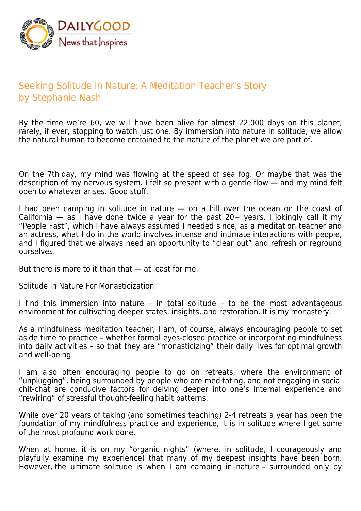

## Seeking Solitude in Nature: A Meditation Teacher's Story by Stephanie Nash

By the time we're 60, we will have been alive for almost 22,000 days on this planet, rarely, if ever, stopping to watch just one. By immersion into nature in solitude, we allow the natural human to become entrained to the nature of the planet we are part of.

On the 7th day, my mind was flowing at the speed of sea fog. Or maybe that was the description of my nervous system. I felt so present with a gentle flow — and my mind felt open to whatever arises. Good stuff.

I had been camping in solitude in nature — on a hill over the ocean on the coast of California — as I have done twice a year for the past 20+ years. I jokingly call it my "People Fast", which I have always assumed I needed since, as a meditation teacher and an actress, what I do in the world involves intense and intimate interactions with people, and I figured that we always need an opportunity to "clear out" and refresh or reground ourselves.

But there is more to it than that — at least for me.

Solitude In Nature For Monasticization

I find this immersion into nature – in total solitude – to be the most advantageous environment for cultivating deeper states, insights, and restoration. It is my monastery.

As a mindfulness meditation teacher, I am, of course, always encouraging people to set aside time to practice – whether formal eyes-closed practice or incorporating mindfulness into daily activities – so that they are "monasticizing" their daily lives for optimal growth and well-being.

I am also often encouraging people to go on retreats, where the environment of "unplugging", being surrounded by people who are meditating, and not engaging in social chit-chat are conducive factors for delving deeper into one's internal experience and "rewiring" of stressful thought-feeling habit patterns.

While over 20 years of taking (and sometimes teaching) 2-4 retreats a year has been the foundation of my mindfulness practice and experience, it is in solitude where I get some of the most profound work done.

When at home, it is on my "organic nights" (where, in solitude, I courageously and playfully examine my experience) that many of my deepest insights have been born. However, the ultimate solitude is when I am camping in nature – surrounded only by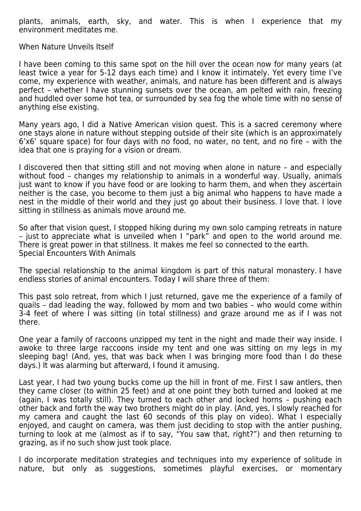plants, animals, earth, sky, and water. This is when I experience that my environment meditates me.

When Nature Unveils Itself

I have been coming to this same spot on the hill over the ocean now for many years (at least twice a year for 5-12 days each time) and I know it intimately. Yet every time I've come, my experience with weather, animals, and nature has been different and is always perfect – whether I have stunning sunsets over the ocean, am pelted with rain, freezing and huddled over some hot tea, or surrounded by sea fog the whole time with no sense of anything else existing.

Many years ago, I did a Native American vision quest. This is a sacred ceremony where one stays alone in nature without stepping outside of their site (which is an approximately 6'x6' square space) for four days with no food, no water, no tent, and no fire – with the idea that one is praying for a vision or dream.

I discovered then that sitting still and not moving when alone in nature – and especially without food – changes my relationship to animals in a wonderful way. Usually, animals just want to know if you have food or are looking to harm them, and when they ascertain neither is the case, you become to them just a big animal who happens to have made a nest in the middle of their world and they just go about their business. I love that. I love sitting in stillness as animals move around me.

So after that vision quest, I stopped hiking during my own solo camping retreats in nature – just to appreciate what is unveiled when I "park" and open to the world around me. There is great power in that stillness. It makes me feel so connected to the earth. Special Encounters With Animals

The special relationship to the animal kingdom is part of this natural monastery. I have endless stories of animal encounters. Today I will share three of them:

This past solo retreat, from which I just returned, gave me the experience of a family of quails – dad leading the way, followed by mom and two babies – who would come within 3-4 feet of where I was sitting (in total stillness) and graze around me as if I was not there.

One year a family of raccoons unzipped my tent in the night and made their way inside. I awoke to three large raccoons inside my tent and one was sitting on my legs in my sleeping bag! (And, yes, that was back when I was bringing more food than I do these days.) It was alarming but afterward, I found it amusing.

Last year, I had two young bucks come up the hill in front of me. First I saw antlers, then they came closer (to within 25 feet) and at one point they both turned and looked at me (again, I was totally still). They turned to each other and locked horns – pushing each other back and forth the way two brothers might do in play. (And, yes, I slowly reached for my camera and caught the last 60 seconds of this play on video). What I especially enjoyed, and caught on camera, was them just deciding to stop with the antler pushing, turning to look at me (almost as if to say, "You saw that, right?") and then returning to grazing, as if no such show just took place.

I do incorporate meditation strategies and techniques into my experience of solitude in nature, but only as suggestions, sometimes playful exercises, or momentary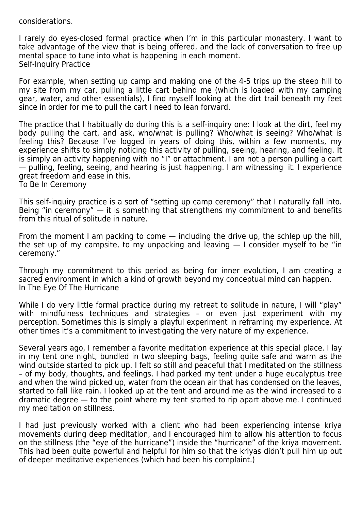considerations.

I rarely do eyes-closed formal practice when I'm in this particular monastery. I want to take advantage of the view that is being offered, and the lack of conversation to free up mental space to tune into what is happening in each moment. Self-Inquiry Practice

For example, when setting up camp and making one of the 4-5 trips up the steep hill to my site from my car, pulling a little cart behind me (which is loaded with my camping gear, water, and other essentials), I find myself looking at the dirt trail beneath my feet since in order for me to pull the cart I need to lean forward.

The practice that I habitually do during this is a self-inquiry one: I look at the dirt, feel my body pulling the cart, and ask, who/what is pulling? Who/what is seeing? Who/what is feeling this? Because I've logged in years of doing this, within a few moments, my experience shifts to simply noticing this activity of pulling, seeing, hearing, and feeling. It is simply an activity happening with no "I" or attachment. I am not a person pulling a cart — pulling, feeling, seeing, and hearing is just happening. I am witnessing it. I experience great freedom and ease in this.

To Be In Ceremony

This self-inquiry practice is a sort of "setting up camp ceremony" that I naturally fall into. Being "in ceremony" — it is something that strengthens my commitment to and benefits from this ritual of solitude in nature.

From the moment I am packing to come  $-$  including the drive up, the schlep up the hill, the set up of my campsite, to my unpacking and leaving  $-1$  consider myself to be "in ceremony."

Through my commitment to this period as being for inner evolution, I am creating a sacred environment in which a kind of growth beyond my conceptual mind can happen. In The Eye Of The Hurricane

While I do very little formal practice during my retreat to solitude in nature, I will "play" with mindfulness techniques and strategies - or even just experiment with my perception. Sometimes this is simply a playful experiment in reframing my experience. At other times it's a commitment to investigating the very nature of my experience.

Several years ago, I remember a favorite meditation experience at this special place. I lay in my tent one night, bundled in two sleeping bags, feeling quite safe and warm as the wind outside started to pick up. I felt so still and peaceful that I meditated on the stillness – of my body, thoughts, and feelings. I had parked my tent under a huge eucalyptus tree and when the wind picked up, water from the ocean air that has condensed on the leaves, started to fall like rain. I looked up at the tent and around me as the wind increased to a dramatic degree — to the point where my tent started to rip apart above me. I continued my meditation on stillness.

I had just previously worked with a client who had been experiencing intense kriya movements during deep meditation, and I encouraged him to allow his attention to focus on the stillness (the "eye of the hurricane") inside the "hurricane" of the kriya movement. This had been quite powerful and helpful for him so that the kriyas didn't pull him up out of deeper meditative experiences (which had been his complaint.)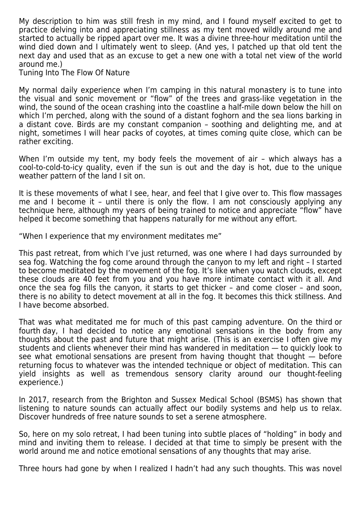My description to him was still fresh in my mind, and I found myself excited to get to practice delving into and appreciating stillness as my tent moved wildly around me and started to actually be ripped apart over me. It was a divine three-hour meditation until the wind died down and I ultimately went to sleep. (And yes, I patched up that old tent the next day and used that as an excuse to get a new one with a total net view of the world around me.)

Tuning Into The Flow Of Nature

My normal daily experience when I'm camping in this natural monastery is to tune into the visual and sonic movement or "flow" of the trees and grass-like vegetation in the wind, the sound of the ocean crashing into the coastline a half-mile down below the hill on which I'm perched, along with the sound of a distant foghorn and the sea lions barking in a distant cove. Birds are my constant companion – soothing and delighting me, and at night, sometimes I will hear packs of coyotes, at times coming quite close, which can be rather exciting.

When I'm outside my tent, my body feels the movement of air – which always has a cool-to-cold-to-icy quality, even if the sun is out and the day is hot, due to the unique weather pattern of the land I sit on.

It is these movements of what I see, hear, and feel that I give over to. This flow massages me and I become it – until there is only the flow. I am not consciously applying any technique here, although my years of being trained to notice and appreciate "flow" have helped it become something that happens naturally for me without any effort.

"When I experience that my environment meditates me"

This past retreat, from which I've just returned, was one where I had days surrounded by sea fog. Watching the fog come around through the canyon to my left and right – I started to become meditated by the movement of the fog. It's like when you watch clouds, except these clouds are 40 feet from you and you have more intimate contact with it all. And once the sea fog fills the canyon, it starts to get thicker – and come closer – and soon, there is no ability to detect movement at all in the fog. It becomes this thick stillness. And I have become absorbed.

That was what meditated me for much of this past camping adventure. On the third or fourth day, I had decided to notice any emotional sensations in the body from any thoughts about the past and future that might arise. (This is an exercise I often give my students and clients whenever their mind has wandered in meditation — to quickly look to see what emotional sensations are present from having thought that thought  $-$  before returning focus to whatever was the intended technique or object of meditation. This can yield insights as well as tremendous sensory clarity around our thought-feeling experience.)

In 2017, research from the Brighton and Sussex Medical School (BSMS) has shown that listening to nature sounds can actually affect our bodily systems and help us to relax. Discover hundreds of free nature sounds to set a serene atmosphere.

So, here on my solo retreat, I had been tuning into subtle places of "holding" in body and mind and inviting them to release. I decided at that time to simply be present with the world around me and notice emotional sensations of any thoughts that may arise.

Three hours had gone by when I realized I hadn't had any such thoughts. This was novel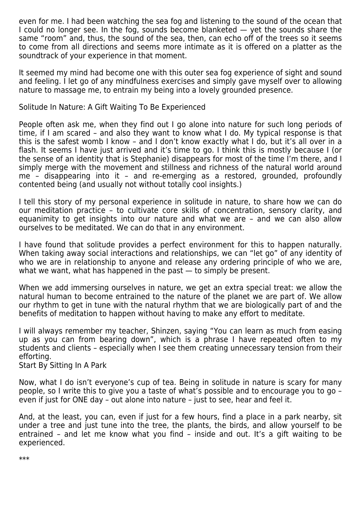even for me. I had been watching the sea fog and listening to the sound of the ocean that I could no longer see. In the fog, sounds become blanketed  $-$  yet the sounds share the same "room" and, thus, the sound of the sea, then, can echo off of the trees so it seems to come from all directions and seems more intimate as it is offered on a platter as the soundtrack of your experience in that moment.

It seemed my mind had become one with this outer sea fog experience of sight and sound and feeling. I let go of any mindfulness exercises and simply gave myself over to allowing nature to massage me, to entrain my being into a lovely grounded presence.

Solitude In Nature: A Gift Waiting To Be Experienced

People often ask me, when they find out I go alone into nature for such long periods of time, if I am scared – and also they want to know what I do. My typical response is that this is the safest womb I know – and I don't know exactly what I do, but it's all over in a flash. It seems I have just arrived and it's time to go. I think this is mostly because I (or the sense of an identity that is Stephanie) disappears for most of the time I'm there, and I simply merge with the movement and stillness and richness of the natural world around me – disappearing into it – and re-emerging as a restored, grounded, profoundly contented being (and usually not without totally cool insights.)

I tell this story of my personal experience in solitude in nature, to share how we can do our meditation practice – to cultivate core skills of concentration, sensory clarity, and equanimity to get insights into our nature and what we are – and we can also allow ourselves to be meditated. We can do that in any environment.

I have found that solitude provides a perfect environment for this to happen naturally. When taking away social interactions and relationships, we can "let go" of any identity of who we are in relationship to anyone and release any ordering principle of who we are, what we want, what has happened in the past — to simply be present.

When we add immersing ourselves in nature, we get an extra special treat: we allow the natural human to become entrained to the nature of the planet we are part of. We allow our rhythm to get in tune with the natural rhythm that we are biologically part of and the benefits of meditation to happen without having to make any effort to meditate.

I will always remember my teacher, Shinzen, saying "You can learn as much from easing up as you can from bearing down", which is a phrase I have repeated often to my students and clients – especially when I see them creating unnecessary tension from their efforting.

Start By Sitting In A Park

Now, what I do isn't everyone's cup of tea. Being in solitude in nature is scary for many people, so I write this to give you a taste of what's possible and to encourage you to go – even if just for ONE day – out alone into nature – just to see, hear and feel it.

And, at the least, you can, even if just for a few hours, find a place in a park nearby, sit under a tree and just tune into the tree, the plants, the birds, and allow yourself to be entrained – and let me know what you find – inside and out. It's a gift waiting to be experienced.